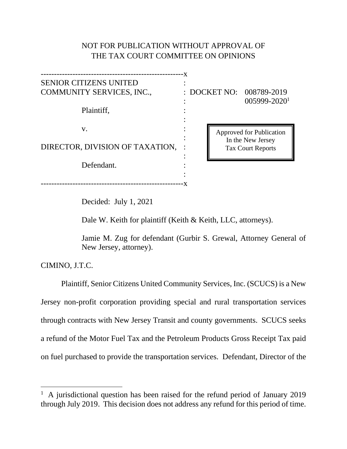# NOT FOR PUBLICATION WITHOUT APPROVAL OF THE TAX COURT COMMITTEE ON OPINIONS

------------------------------------------------------x SENIOR CITIZENS UNITED : COMMUNITY SERVICES, INC., : DOCKET NO: 008789-2019 Plaintiff, :  $\mathbf{v}$ .  $\vdots$ : DIRECTOR, DIVISION OF TAXATION, : : Defendant. : ------------------------------------------------------x

: 005999-2020<sup>1</sup>

Approved for Publication In the New Jersey Tax Court Reports

Decided: July 1, 2021

Dale W. Keith for plaintiff (Keith & Keith, LLC, attorneys).

Jamie M. Zug for defendant (Gurbir S. Grewal, Attorney General of New Jersey, attorney).

CIMINO, J.T.C.

Plaintiff, Senior Citizens United Community Services, Inc. (SCUCS) is a New Jersey non-profit corporation providing special and rural transportation services through contracts with New Jersey Transit and county governments. SCUCS seeks a refund of the Motor Fuel Tax and the Petroleum Products Gross Receipt Tax paid on fuel purchased to provide the transportation services. Defendant, Director of the

<sup>&</sup>lt;sup>1</sup> A jurisdictional question has been raised for the refund period of January 2019 through July 2019. This decision does not address any refund for this period of time.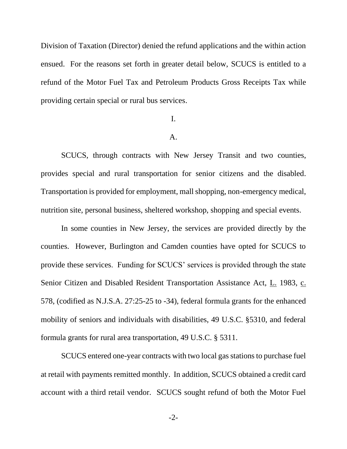Division of Taxation (Director) denied the refund applications and the within action ensued. For the reasons set forth in greater detail below, SCUCS is entitled to a refund of the Motor Fuel Tax and Petroleum Products Gross Receipts Tax while providing certain special or rural bus services.

# I.

#### A.

SCUCS, through contracts with New Jersey Transit and two counties, provides special and rural transportation for senior citizens and the disabled. Transportation is provided for employment, mall shopping, non-emergency medical, nutrition site, personal business, sheltered workshop, shopping and special events.

In some counties in New Jersey, the services are provided directly by the counties. However, Burlington and Camden counties have opted for SCUCS to provide these services. Funding for SCUCS' services is provided through the state Senior Citizen and Disabled Resident Transportation Assistance Act, L. 1983, c. 578, (codified as N.J.S.A. 27:25-25 to -34), federal formula grants for the enhanced mobility of seniors and individuals with disabilities, 49 U.S.C. §5310, and federal formula grants for rural area transportation, 49 U.S.C. § 5311.

SCUCS entered one-year contracts with two local gas stations to purchase fuel at retail with payments remitted monthly. In addition, SCUCS obtained a credit card account with a third retail vendor. SCUCS sought refund of both the Motor Fuel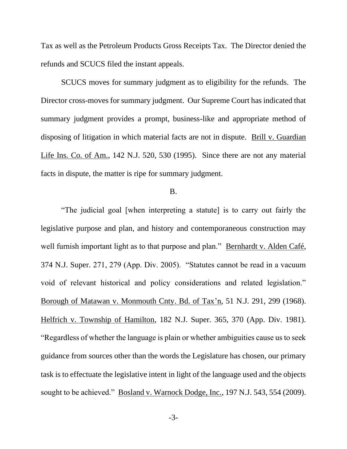Tax as well as the Petroleum Products Gross Receipts Tax. The Director denied the refunds and SCUCS filed the instant appeals.

SCUCS moves for summary judgment as to eligibility for the refunds. The Director cross-moves for summary judgment. Our Supreme Court has indicated that summary judgment provides a prompt, business-like and appropriate method of disposing of litigation in which material facts are not in dispute. Brill v. Guardian Life Ins. Co. of Am., 142 N.J. 520, 530 (1995). Since there are not any material facts in dispute, the matter is ripe for summary judgment.

## B.

"The judicial goal [when interpreting a statute] is to carry out fairly the legislative purpose and plan, and history and contemporaneous construction may well furnish important light as to that purpose and plan." Bernhardt v. Alden Café, 374 N.J. Super. 271, 279 (App. Div. 2005). "Statutes cannot be read in a vacuum void of relevant historical and policy considerations and related legislation." Borough of Matawan v. Monmouth Cnty. Bd. of Tax'n, 51 N.J. 291, 299 (1968). Helfrich v. Township of Hamilton, 182 N.J. Super. 365, 370 (App. Div. 1981). "Regardless of whether the language is plain or whether ambiguities cause us to seek guidance from sources other than the words the Legislature has chosen, our primary task is to effectuate the legislative intent in light of the language used and the objects sought to be achieved." Bosland v. Warnock Dodge, Inc., 197 N.J. 543, 554 (2009).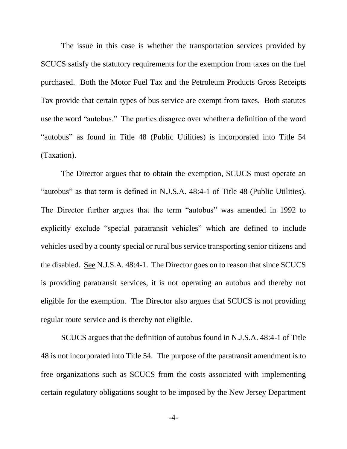The issue in this case is whether the transportation services provided by SCUCS satisfy the statutory requirements for the exemption from taxes on the fuel purchased. Both the Motor Fuel Tax and the Petroleum Products Gross Receipts Tax provide that certain types of bus service are exempt from taxes. Both statutes use the word "autobus." The parties disagree over whether a definition of the word "autobus" as found in Title 48 (Public Utilities) is incorporated into Title 54 (Taxation).

The Director argues that to obtain the exemption, SCUCS must operate an "autobus" as that term is defined in N.J.S.A. 48:4-1 of Title 48 (Public Utilities). The Director further argues that the term "autobus" was amended in 1992 to explicitly exclude "special paratransit vehicles" which are defined to include vehicles used by a county special or rural bus service transporting senior citizens and the disabled. <u>See</u> N.J.S.A.  $48:4-1$ . The Director goes on to reason that since SCUCS is providing paratransit services, it is not operating an autobus and thereby not eligible for the exemption. The Director also argues that SCUCS is not providing regular route service and is thereby not eligible.

SCUCS argues that the definition of autobus found in N.J.S.A. 48:4-1 of Title 48 is not incorporated into Title 54. The purpose of the paratransit amendment is to free organizations such as SCUCS from the costs associated with implementing certain regulatory obligations sought to be imposed by the New Jersey Department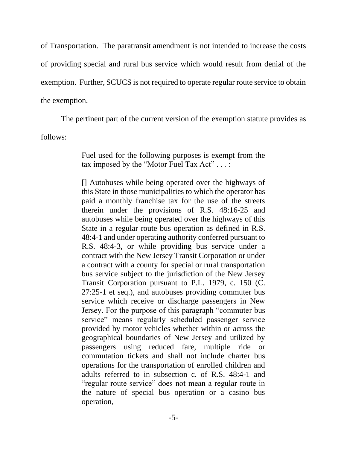of Transportation. The paratransit amendment is not intended to increase the costs of providing special and rural bus service which would result from denial of the exemption. Further, SCUCS is not required to operate regular route service to obtain the exemption.

The pertinent part of the current version of the exemption statute provides as

follows:

Fuel used for the following purposes is exempt from the tax imposed by the "Motor Fuel Tax Act" . . . :

[] Autobuses while being operated over the highways of this State in those municipalities to which the operator has paid a monthly franchise tax for the use of the streets therein under the provisions of R.S. 48:16-25 and autobuses while being operated over the highways of this State in a regular route bus operation as defined in R.S. 48:4-1 and under operating authority conferred pursuant to R.S. 48:4-3, or while providing bus service under a contract with the New Jersey Transit Corporation or under a contract with a county for special or rural transportation bus service subject to the jurisdiction of the New Jersey Transit Corporation pursuant to P.L. 1979, c. 150 (C. 27:25-1 et seq.), and autobuses providing commuter bus service which receive or discharge passengers in New Jersey. For the purpose of this paragraph "commuter bus service" means regularly scheduled passenger service provided by motor vehicles whether within or across the geographical boundaries of New Jersey and utilized by passengers using reduced fare, multiple ride or commutation tickets and shall not include charter bus operations for the transportation of enrolled children and adults referred to in subsection c. of R.S. 48:4-1 and "regular route service" does not mean a regular route in the nature of special bus operation or a casino bus operation,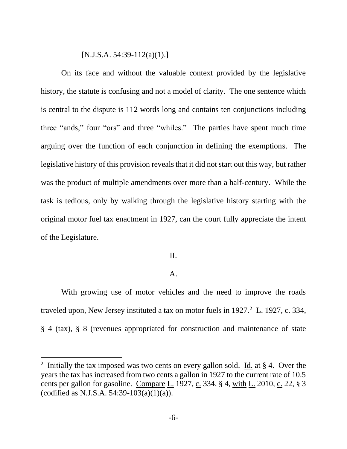### $[N.J.S.A. 54:39-112(a)(1).]$

On its face and without the valuable context provided by the legislative history, the statute is confusing and not a model of clarity. The one sentence which is central to the dispute is 112 words long and contains ten conjunctions including three "ands," four "ors" and three "whiles." The parties have spent much time arguing over the function of each conjunction in defining the exemptions. The legislative history of this provision reveals that it did not start out this way, but rather was the product of multiple amendments over more than a half-century. While the task is tedious, only by walking through the legislative history starting with the original motor fuel tax enactment in 1927, can the court fully appreciate the intent of the Legislature.

# II.

# A.

With growing use of motor vehicles and the need to improve the roads traveled upon, New Jersey instituted a tax on motor fuels in  $1927<sup>2</sup>$  L. 1927, c. 334, § 4 (tax), § 8 (revenues appropriated for construction and maintenance of state

<sup>&</sup>lt;sup>2</sup> Initially the tax imposed was two cents on every gallon sold. Id. at  $\S$  4. Over the years the tax has increased from two cents a gallon in 1927 to the current rate of 10.5 cents per gallon for gasoline. Compare L. 1927, c. 334,  $\S$  4, with L. 2010, c. 22,  $\S$  3 (codified as N.J.S.A. 54:39-103(a)(1)(a)).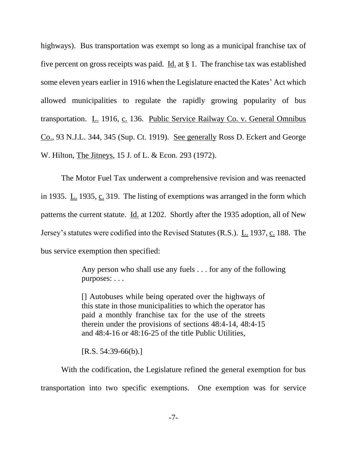highways). Bus transportation was exempt so long as a municipal franchise tax of five percent on gross receipts was paid. Id. at § 1. The franchise tax was established some eleven years earlier in 1916 when the Legislature enacted the Kates' Act which allowed municipalities to regulate the rapidly growing popularity of bus transportation. L. 1916, c. 136. Public Service Railway Co. v. General Omnibus Co., 93 N.J.L. 344, 345 (Sup. Ct. 1919). See generally Ross D. Eckert and George W. Hilton, The Jitneys, 15 J. of L. & Econ. 293 (1972).

The Motor Fuel Tax underwent a comprehensive revision and was reenacted in 1935. L. 1935, c. 319. The listing of exemptions was arranged in the form which patterns the current statute. Id. at 1202. Shortly after the 1935 adoption, all of New Jersey's statutes were codified into the Revised Statutes (R.S.). L. 1937, c. 188. The bus service exemption then specified:

> Any person who shall use any fuels . . . for any of the following purposes: . . .

[] Autobuses while being operated over the highways of this state in those municipalities to which the operator has paid a monthly franchise tax for the use of the streets therein under the provisions of sections 48:4-14, 48:4-15 and 48:4-16 or 48:16-25 of the title Public Utilities,

 $[R.S. 54:39-66(b).]$ 

With the codification, the Legislature refined the general exemption for bus transportation into two specific exemptions. One exemption was for service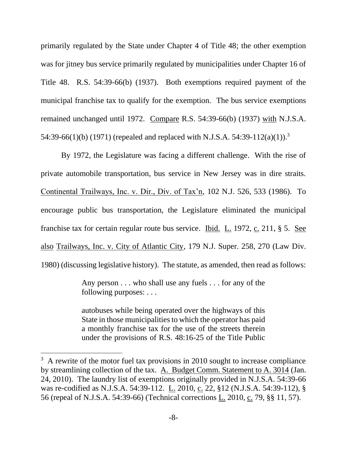primarily regulated by the State under Chapter 4 of Title 48; the other exemption was for jitney bus service primarily regulated by municipalities under Chapter 16 of Title 48. R.S. 54:39-66(b) (1937). Both exemptions required payment of the municipal franchise tax to qualify for the exemption. The bus service exemptions remained unchanged until 1972. Compare R.S. 54:39-66(b) (1937) with N.J.S.A. 54:39-66(1)(b) (1971) (repealed and replaced with N.J.S.A. 54:39-112(a)(1)).<sup>3</sup>

By 1972, the Legislature was facing a different challenge. With the rise of private automobile transportation, bus service in New Jersey was in dire straits. Continental Trailways, Inc. v. Dir., Div. of Tax'n, 102 N.J. 526, 533 (1986). To encourage public bus transportation, the Legislature eliminated the municipal franchise tax for certain regular route bus service. Ibid. L. 1972, c. 211, § 5. See also Trailways, Inc. v. City of Atlantic City, 179 N.J. Super. 258, 270 (Law Div. 1980) (discussing legislative history). The statute, as amended, then read as follows:

> Any person . . . who shall use any fuels . . . for any of the following purposes: . . .

> autobuses while being operated over the highways of this State in those municipalities to which the operator has paid a monthly franchise tax for the use of the streets therein under the provisions of R.S. 48:16-25 of the Title Public

<sup>&</sup>lt;sup>3</sup> A rewrite of the motor fuel tax provisions in 2010 sought to increase compliance by streamlining collection of the tax. A. Budget Comm. Statement to A. 3014 (Jan. 24, 2010). The laundry list of exemptions originally provided in N.J.S.A. 54:39-66 was re-codified as N.J.S.A. 54:39-112. L. 2010, c. 22, §12 (N.J.S.A. 54:39-112), § 56 (repeal of N.J.S.A. 54:39-66) (Technical corrections L. 2010, c. 79, §§ 11, 57).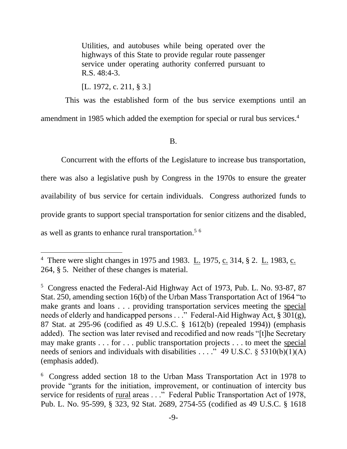Utilities, and autobuses while being operated over the highways of this State to provide regular route passenger service under operating authority conferred pursuant to R.S. 48:4-3.

[L. 1972, c. 211, § 3.]

 This was the established form of the bus service exemptions until an amendment in 1985 which added the exemption for special or rural bus services.<sup>4</sup>

B.

Concurrent with the efforts of the Legislature to increase bus transportation,

there was also a legislative push by Congress in the 1970s to ensure the greater availability of bus service for certain individuals. Congress authorized funds to provide grants to support special transportation for senior citizens and the disabled, as well as grants to enhance rural transportation.<sup>56</sup>

<sup>&</sup>lt;sup>4</sup> There were slight changes in 1975 and 1983.  $\underline{L}$ . 1975,  $\underline{c}$ . 314, § 2.  $\underline{L}$ . 1983,  $\underline{c}$ . 264, § 5. Neither of these changes is material.

<sup>5</sup> Congress enacted the Federal-Aid Highway Act of 1973, Pub. L. No. 93-87, 87 Stat. 250, amending section 16(b) of the Urban Mass Transportation Act of 1964 "to make grants and loans . . . providing transportation services meeting the special needs of elderly and handicapped persons . . ." Federal-Aid Highway Act, § 301(g), 87 Stat. at 295-96 (codified as 49 U.S.C. § 1612(b) (repealed 1994)) (emphasis added). The section was later revised and recodified and now reads "[t]he Secretary may make grants . . . for . . . public transportation projects . . . to meet the special needs of seniors and individuals with disabilities . . . ." 49 U.S.C.  $\S$  5310(b)(1)(A) (emphasis added).

<sup>6</sup> Congress added section 18 to the Urban Mass Transportation Act in 1978 to provide "grants for the initiation, improvement, or continuation of intercity bus service for residents of <u>rural</u> areas . . ." Federal Public Transportation Act of 1978, Pub. L. No. 95-599, § 323, 92 Stat. 2689, 2754-55 (codified as 49 U.S.C. § 1618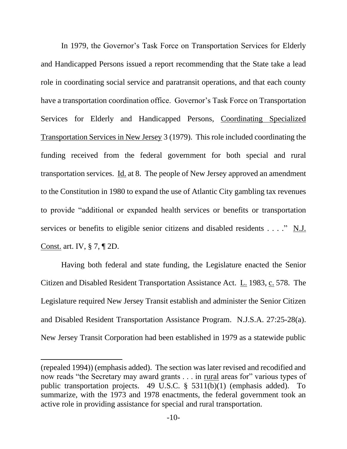In 1979, the Governor's Task Force on Transportation Services for Elderly and Handicapped Persons issued a report recommending that the State take a lead role in coordinating social service and paratransit operations, and that each county have a transportation coordination office. Governor's Task Force on Transportation Services for Elderly and Handicapped Persons, Coordinating Specialized Transportation Services in New Jersey 3 (1979). This role included coordinating the funding received from the federal government for both special and rural transportation services. Id. at 8. The people of New Jersey approved an amendment to the Constitution in 1980 to expand the use of Atlantic City gambling tax revenues to provide "additional or expanded health services or benefits or transportation services or benefits to eligible senior citizens and disabled residents . . . ." N.J. Const. art. IV, § 7, ¶ 2D.

Having both federal and state funding, the Legislature enacted the Senior Citizen and Disabled Resident Transportation Assistance Act. L. 1983, c. 578. The Legislature required New Jersey Transit establish and administer the Senior Citizen and Disabled Resident Transportation Assistance Program. N.J.S.A. 27:25-28(a). New Jersey Transit Corporation had been established in 1979 as a statewide public

<sup>(</sup>repealed 1994)) (emphasis added). The section was later revised and recodified and now reads "the Secretary may award grants . . . in rural areas for" various types of public transportation projects. 49 U.S.C. § 5311(b)(1) (emphasis added). To summarize, with the 1973 and 1978 enactments, the federal government took an active role in providing assistance for special and rural transportation.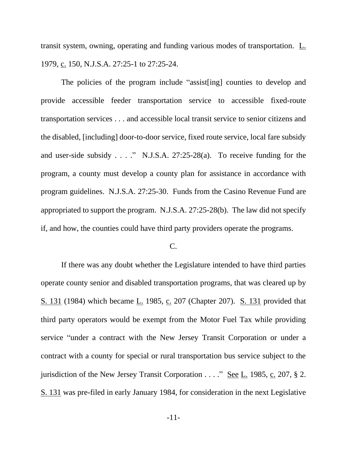transit system, owning, operating and funding various modes of transportation. L. 1979, c. 150, N.J.S.A. 27:25-1 to 27:25-24.

The policies of the program include "assist[ing] counties to develop and provide accessible feeder transportation service to accessible fixed-route transportation services . . . and accessible local transit service to senior citizens and the disabled, [including] door-to-door service, fixed route service, local fare subsidy and user-side subsidy . . . ." N.J.S.A. 27:25-28(a). To receive funding for the program, a county must develop a county plan for assistance in accordance with program guidelines. N.J.S.A. 27:25-30. Funds from the Casino Revenue Fund are appropriated to support the program. N.J.S.A. 27:25-28(b). The law did not specify if, and how, the counties could have third party providers operate the programs.

## C.

If there was any doubt whether the Legislature intended to have third parties operate county senior and disabled transportation programs, that was cleared up by S. 131 (1984) which became L. 1985, c. 207 (Chapter 207). S. 131 provided that third party operators would be exempt from the Motor Fuel Tax while providing service "under a contract with the New Jersey Transit Corporation or under a contract with a county for special or rural transportation bus service subject to the jurisdiction of the New Jersey Transit Corporation . . . ." See L. 1985, c. 207, § 2. S. 131 was pre-filed in early January 1984, for consideration in the next Legislative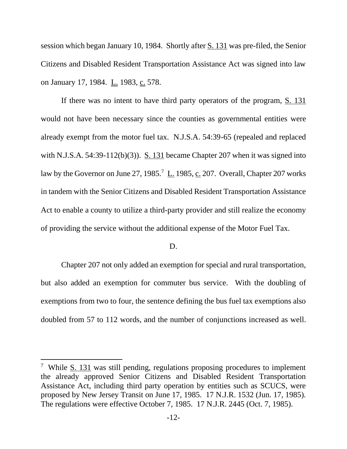session which began January 10, 1984. Shortly after S. 131 was pre-filed, the Senior Citizens and Disabled Resident Transportation Assistance Act was signed into law on January 17, 1984. L. 1983, c. 578.

If there was no intent to have third party operators of the program, S. 131 would not have been necessary since the counties as governmental entities were already exempt from the motor fuel tax. N.J.S.A. 54:39-65 (repealed and replaced with N.J.S.A. 54:39-112(b)(3)). S. 131 became Chapter 207 when it was signed into law by the Governor on June 27, 1985.<sup>7</sup> L. 1985, c. 207. Overall, Chapter 207 works in tandem with the Senior Citizens and Disabled Resident Transportation Assistance Act to enable a county to utilize a third-party provider and still realize the economy of providing the service without the additional expense of the Motor Fuel Tax.

## D.

Chapter 207 not only added an exemption for special and rural transportation, but also added an exemption for commuter bus service. With the doubling of exemptions from two to four, the sentence defining the bus fuel tax exemptions also doubled from 57 to 112 words, and the number of conjunctions increased as well.

<sup>&</sup>lt;sup>7</sup> While  $S. 131$  was still pending, regulations proposing procedures to implement the already approved Senior Citizens and Disabled Resident Transportation Assistance Act, including third party operation by entities such as SCUCS, were proposed by New Jersey Transit on June 17, 1985. 17 N.J.R. 1532 (Jun. 17, 1985). The regulations were effective October 7, 1985. 17 N.J.R. 2445 (Oct. 7, 1985).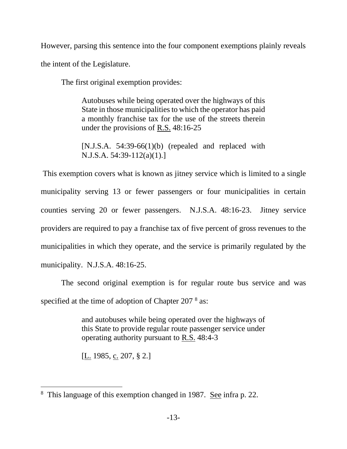However, parsing this sentence into the four component exemptions plainly reveals the intent of the Legislature.

The first original exemption provides:

Autobuses while being operated over the highways of this State in those municipalities to which the operator has paid a monthly franchise tax for the use of the streets therein under the provisions of R.S. 48:16-25

[N.J.S.A. 54:39-66(1)(b) (repealed and replaced with N.J.S.A. 54:39-112(a)(1).]

This exemption covers what is known as jitney service which is limited to a single municipality serving 13 or fewer passengers or four municipalities in certain counties serving 20 or fewer passengers. N.J.S.A. 48:16-23. Jitney service providers are required to pay a franchise tax of five percent of gross revenues to the municipalities in which they operate, and the service is primarily regulated by the municipality. N.J.S.A. 48:16-25.

The second original exemption is for regular route bus service and was specified at the time of adoption of Chapter 207 $8$  as:

> and autobuses while being operated over the highways of this State to provide regular route passenger service under operating authority pursuant to R.S. 48:4-3

[L. 1985, c. 207, § 2.]

<sup>&</sup>lt;sup>8</sup> This language of this exemption changed in 1987. See infra p. 22.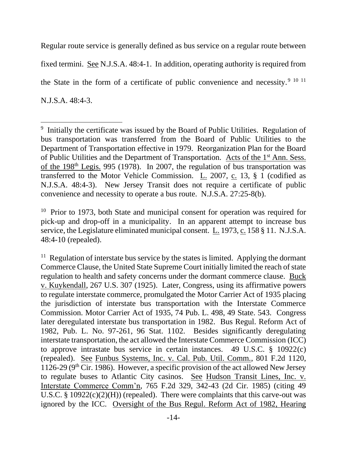Regular route service is generally defined as bus service on a regular route between fixed termini. See N.J.S.A. 48:4-1. In addition, operating authority is required from the State in the form of a certificate of public convenience and necessity.<sup>9 10 11</sup> N.J.S.A. 48:4-3.

<sup>&</sup>lt;sup>9</sup> Initially the certificate was issued by the Board of Public Utilities. Regulation of bus transportation was transferred from the Board of Public Utilities to the Department of Transportation effective in 1979. Reorganization Plan for the Board of Public Utilities and the Department of Transportation. Acts of the 1st Ann. Sess. of the 198<sup>th</sup> Legis. 995 (1978). In 2007, the regulation of bus transportation was transferred to the Motor Vehicle Commission. L. 2007, c. 13, § 1 (codified as N.J.S.A. 48:4-3). New Jersey Transit does not require a certificate of public convenience and necessity to operate a bus route. N.J.S.A. 27:25-8(b).

<sup>&</sup>lt;sup>10</sup> Prior to 1973, both State and municipal consent for operation was required for pick-up and drop-off in a municipality. In an apparent attempt to increase bus service, the Legislature eliminated municipal consent. L. 1973, c. 158 § 11. N.J.S.A. 48:4-10 (repealed).

 $11$  Regulation of interstate bus service by the states is limited. Applying the dormant Commerce Clause, the United State Supreme Court initially limited the reach of state regulation to health and safety concerns under the dormant commerce clause. Buck v. Kuykendall, 267 U.S. 307 (1925). Later, Congress, using its affirmative powers to regulate interstate commerce, promulgated the Motor Carrier Act of 1935 placing the jurisdiction of interstate bus transportation with the Interstate Commerce Commission. Motor Carrier Act of 1935, 74 Pub. L. 498, 49 State. 543. Congress later deregulated interstate bus transportation in 1982. Bus Regul. Reform Act of 1982, Pub. L. No. 97-261, 96 Stat. 1102. Besides significantly deregulating interstate transportation, the act allowed the Interstate Commerce Commission (ICC) to approve intrastate bus service in certain instances. 49 U.S.C. § 10922(c) (repealed). See Funbus Systems, Inc. v. Cal. Pub. Util. Comm., 801 F.2d 1120, 1126-29 ( $9<sup>th</sup>$  Cir. 1986). However, a specific provision of the act allowed New Jersey to regulate buses to Atlantic City casinos. See Hudson Transit Lines, Inc. v. Interstate Commerce Comm'n, 765 F.2d 329, 342-43 (2d Cir. 1985) (citing 49 U.S.C. §  $10922(c)(2)(H)$  (repealed). There were complaints that this carve-out was ignored by the ICC. Oversight of the Bus Regul. Reform Act of 1982, Hearing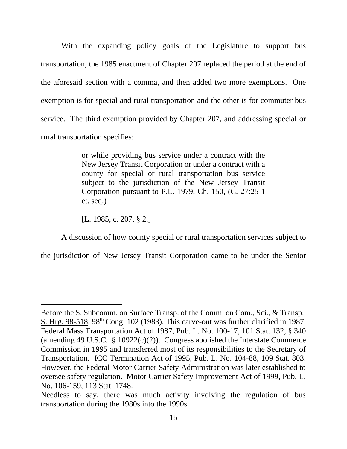With the expanding policy goals of the Legislature to support bus transportation, the 1985 enactment of Chapter 207 replaced the period at the end of the aforesaid section with a comma, and then added two more exemptions. One exemption is for special and rural transportation and the other is for commuter bus service. The third exemption provided by Chapter 207, and addressing special or rural transportation specifies:

> or while providing bus service under a contract with the New Jersey Transit Corporation or under a contract with a county for special or rural transportation bus service subject to the jurisdiction of the New Jersey Transit Corporation pursuant to P.L. 1979, Ch. 150, (C. 27:25-1 et. seq.)

[L. 1985, c. 207, § 2.]

A discussion of how county special or rural transportation services subject to

the jurisdiction of New Jersey Transit Corporation came to be under the Senior

Before the S. Subcomm. on Surface Transp. of the Comm. on Com., Sci., & Transp., S. Hrg.  $98-518$ ,  $98<sup>th</sup>$  Cong. 102 (1983). This carve-out was further clarified in 1987. Federal Mass Transportation Act of 1987, Pub. L. No. 100-17, 101 Stat. 132, § 340 (amending 49 U.S.C.  $\S$  10922(c)(2)). Congress abolished the Interstate Commerce Commission in 1995 and transferred most of its responsibilities to the Secretary of Transportation. ICC Termination Act of 1995, Pub. L. No. 104-88, 109 Stat. 803. However, the Federal Motor Carrier Safety Administration was later established to oversee safety regulation. Motor Carrier Safety Improvement Act of 1999, Pub. L. No. 106-159, 113 Stat. 1748.

Needless to say, there was much activity involving the regulation of bus transportation during the 1980s into the 1990s.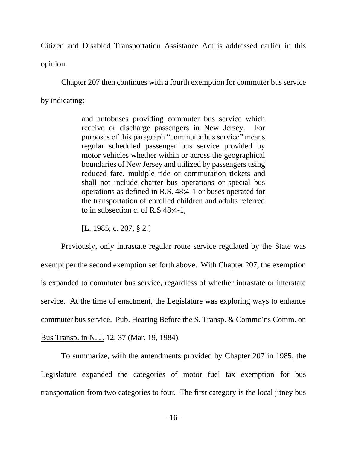Citizen and Disabled Transportation Assistance Act is addressed earlier in this opinion.

Chapter 207 then continues with a fourth exemption for commuter bus service by indicating:

> and autobuses providing commuter bus service which receive or discharge passengers in New Jersey. For purposes of this paragraph "commuter bus service" means regular scheduled passenger bus service provided by motor vehicles whether within or across the geographical boundaries of New Jersey and utilized by passengers using reduced fare, multiple ride or commutation tickets and shall not include charter bus operations or special bus operations as defined in R.S. 48:4-1 or buses operated for the transportation of enrolled children and adults referred to in subsection c. of R.S 48:4-1,

[L. 1985, c. 207, § 2.]

Previously, only intrastate regular route service regulated by the State was exempt per the second exemption set forth above. With Chapter 207, the exemption is expanded to commuter bus service, regardless of whether intrastate or interstate service. At the time of enactment, the Legislature was exploring ways to enhance commuter bus service. Pub. Hearing Before the S. Transp. & Commc'ns Comm. on Bus Transp. in N. J. 12, 37 (Mar. 19, 1984).

To summarize, with the amendments provided by Chapter 207 in 1985, the Legislature expanded the categories of motor fuel tax exemption for bus transportation from two categories to four. The first category is the local jitney bus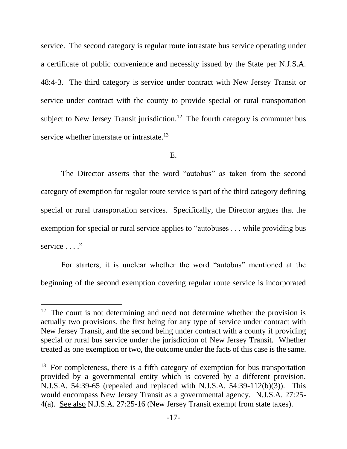service. The second category is regular route intrastate bus service operating under a certificate of public convenience and necessity issued by the State per N.J.S.A. 48:4-3. The third category is service under contract with New Jersey Transit or service under contract with the county to provide special or rural transportation subject to New Jersey Transit jurisdiction.<sup>12</sup> The fourth category is commuter bus service whether interstate or intrastate.<sup>13</sup>

E.

The Director asserts that the word "autobus" as taken from the second category of exemption for regular route service is part of the third category defining special or rural transportation services. Specifically, the Director argues that the exemption for special or rural service applies to "autobuses . . . while providing bus service . . . ."

For starters, it is unclear whether the word "autobus" mentioned at the beginning of the second exemption covering regular route service is incorporated

 $12$  The court is not determining and need not determine whether the provision is actually two provisions, the first being for any type of service under contract with New Jersey Transit, and the second being under contract with a county if providing special or rural bus service under the jurisdiction of New Jersey Transit. Whether treated as one exemption or two, the outcome under the facts of this case is the same.

<sup>&</sup>lt;sup>13</sup> For completeness, there is a fifth category of exemption for bus transportation provided by a governmental entity which is covered by a different provision. N.J.S.A. 54:39-65 (repealed and replaced with N.J.S.A. 54:39-112(b)(3)). This would encompass New Jersey Transit as a governmental agency. N.J.S.A. 27:25- 4(a). See also N.J.S.A. 27:25-16 (New Jersey Transit exempt from state taxes).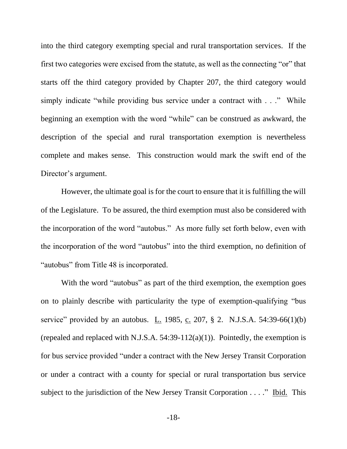into the third category exempting special and rural transportation services. If the first two categories were excised from the statute, as well as the connecting "or" that starts off the third category provided by Chapter 207, the third category would simply indicate "while providing bus service under a contract with . . ." While beginning an exemption with the word "while" can be construed as awkward, the description of the special and rural transportation exemption is nevertheless complete and makes sense. This construction would mark the swift end of the Director's argument.

However, the ultimate goal is for the court to ensure that it is fulfilling the will of the Legislature. To be assured, the third exemption must also be considered with the incorporation of the word "autobus." As more fully set forth below, even with the incorporation of the word "autobus" into the third exemption, no definition of "autobus" from Title 48 is incorporated.

With the word "autobus" as part of the third exemption, the exemption goes on to plainly describe with particularity the type of exemption-qualifying "bus service" provided by an autobus.  $L_1$  1985,  $c_1$  207, § 2. N.J.S.A. 54:39-66(1)(b) (repealed and replaced with N.J.S.A.  $54:39-112(a)(1)$ ). Pointedly, the exemption is for bus service provided "under a contract with the New Jersey Transit Corporation or under a contract with a county for special or rural transportation bus service subject to the jurisdiction of the New Jersey Transit Corporation . . . ." Ibid. This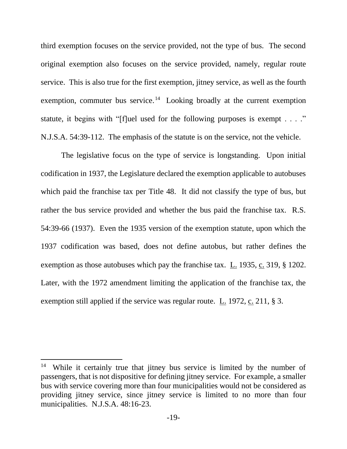third exemption focuses on the service provided, not the type of bus. The second original exemption also focuses on the service provided, namely, regular route service. This is also true for the first exemption, jitney service, as well as the fourth exemption, commuter bus service.<sup>14</sup> Looking broadly at the current exemption statute, it begins with "[f]uel used for the following purposes is exempt  $\dots$ ." N.J.S.A. 54:39-112. The emphasis of the statute is on the service, not the vehicle.

The legislative focus on the type of service is longstanding. Upon initial codification in 1937, the Legislature declared the exemption applicable to autobuses which paid the franchise tax per Title 48. It did not classify the type of bus, but rather the bus service provided and whether the bus paid the franchise tax. R.S. 54:39-66 (1937). Even the 1935 version of the exemption statute, upon which the 1937 codification was based, does not define autobus, but rather defines the exemption as those autobuses which pay the franchise tax. L. 1935, c. 319, § 1202. Later, with the 1972 amendment limiting the application of the franchise tax, the exemption still applied if the service was regular route. L. 1972, c. 211, § 3.

<sup>14</sup> While it certainly true that jitney bus service is limited by the number of passengers, that is not dispositive for defining jitney service. For example, a smaller bus with service covering more than four municipalities would not be considered as providing jitney service, since jitney service is limited to no more than four municipalities. N.J.S.A. 48:16-23.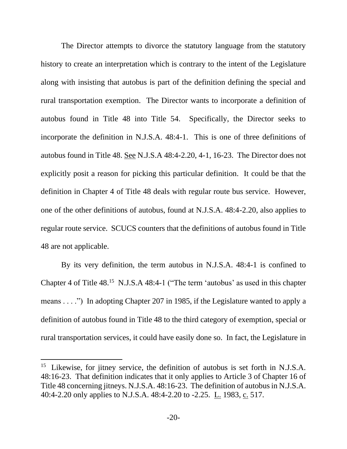The Director attempts to divorce the statutory language from the statutory history to create an interpretation which is contrary to the intent of the Legislature along with insisting that autobus is part of the definition defining the special and rural transportation exemption. The Director wants to incorporate a definition of autobus found in Title 48 into Title 54. Specifically, the Director seeks to incorporate the definition in N.J.S.A. 48:4-1. This is one of three definitions of autobus found in Title 48. See N.J.S.A 48:4-2.20, 4-1, 16-23. The Director does not explicitly posit a reason for picking this particular definition. It could be that the definition in Chapter 4 of Title 48 deals with regular route bus service. However, one of the other definitions of autobus, found at N.J.S.A. 48:4-2.20, also applies to regular route service. SCUCS counters that the definitions of autobus found in Title 48 are not applicable.

By its very definition, the term autobus in N.J.S.A. 48:4-1 is confined to Chapter 4 of Title  $48<sup>15</sup>$  N.J.S.A  $48:4-1$  ("The term 'autobus' as used in this chapter means . . . .") In adopting Chapter 207 in 1985, if the Legislature wanted to apply a definition of autobus found in Title 48 to the third category of exemption, special or rural transportation services, it could have easily done so. In fact, the Legislature in

<sup>&</sup>lt;sup>15</sup> Likewise, for jitney service, the definition of autobus is set forth in N.J.S.A. 48:16-23. That definition indicates that it only applies to Article 3 of Chapter 16 of Title 48 concerning jitneys. N.J.S.A. 48:16-23. The definition of autobus in N.J.S.A. 40:4-2.20 only applies to N.J.S.A. 48:4-2.20 to -2.25. L. 1983, c. 517.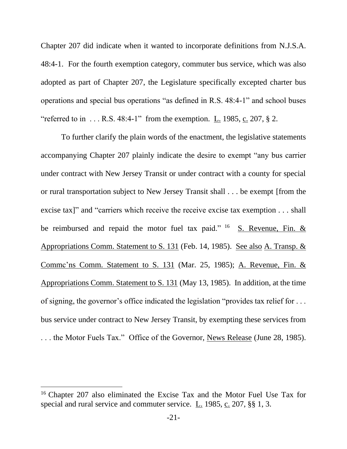Chapter 207 did indicate when it wanted to incorporate definitions from N.J.S.A. 48:4-1. For the fourth exemption category, commuter bus service, which was also adopted as part of Chapter 207, the Legislature specifically excepted charter bus operations and special bus operations "as defined in R.S. 48:4-1" and school buses "referred to in  $\dots$  R.S. 48:4-1" from the exemption. L. 1985, c. 207, § 2.

To further clarify the plain words of the enactment, the legislative statements accompanying Chapter 207 plainly indicate the desire to exempt "any bus carrier under contract with New Jersey Transit or under contract with a county for special or rural transportation subject to New Jersey Transit shall . . . be exempt [from the excise tax]" and "carriers which receive the receive excise tax exemption . . . shall be reimbursed and repaid the motor fuel tax paid."  $^{16}$  S. Revenue, Fin. & Appropriations Comm. Statement to S. 131 (Feb. 14, 1985). See also A. Transp. & Commc'ns Comm. Statement to S. 131 (Mar. 25, 1985); A. Revenue, Fin. & Appropriations Comm. Statement to S. 131 (May 13, 1985). In addition, at the time of signing, the governor's office indicated the legislation "provides tax relief for . . . bus service under contract to New Jersey Transit, by exempting these services from . . . the Motor Fuels Tax." Office of the Governor, News Release (June 28, 1985).

<sup>16</sup> Chapter 207 also eliminated the Excise Tax and the Motor Fuel Use Tax for special and rural service and commuter service. L. 1985, c. 207, §§ 1, 3.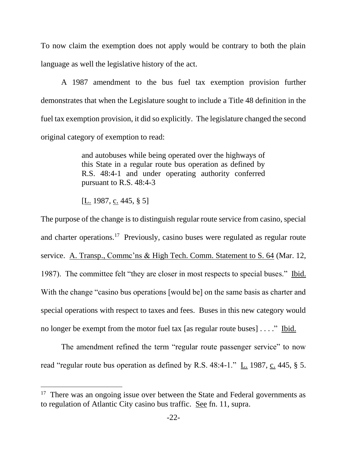To now claim the exemption does not apply would be contrary to both the plain language as well the legislative history of the act.

A 1987 amendment to the bus fuel tax exemption provision further demonstrates that when the Legislature sought to include a Title 48 definition in the fuel tax exemption provision, it did so explicitly. The legislature changed the second original category of exemption to read:

> and autobuses while being operated over the highways of this State in a regular route bus operation as defined by R.S. 48:4-1 and under operating authority conferred pursuant to R.S. 48:4-3

[L. 1987, c. 445, § 5]

The purpose of the change is to distinguish regular route service from casino, special and charter operations.<sup>17</sup> Previously, casino buses were regulated as regular route service. A. Transp., Commc'ns & High Tech. Comm. Statement to S. 64 (Mar. 12, 1987). The committee felt "they are closer in most respects to special buses." Ibid. With the change "casino bus operations [would be] on the same basis as charter and special operations with respect to taxes and fees. Buses in this new category would no longer be exempt from the motor fuel tax [as regular route buses] . . . ." Ibid.

The amendment refined the term "regular route passenger service" to now read "regular route bus operation as defined by R.S. 48:4-1." L. 1987, c. 445, § 5.

<sup>&</sup>lt;sup>17</sup> There was an ongoing issue over between the State and Federal governments as to regulation of Atlantic City casino bus traffic. See fn. 11, supra.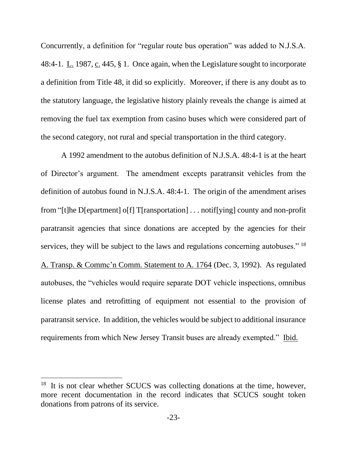Concurrently, a definition for "regular route bus operation" was added to N.J.S.A. 48:4-1. L. 1987, c. 445, § 1. Once again, when the Legislature sought to incorporate a definition from Title 48, it did so explicitly. Moreover, if there is any doubt as to the statutory language, the legislative history plainly reveals the change is aimed at removing the fuel tax exemption from casino buses which were considered part of the second category, not rural and special transportation in the third category.

A 1992 amendment to the autobus definition of N.J.S.A. 48:4-1 is at the heart of Director's argument. The amendment excepts paratransit vehicles from the definition of autobus found in N.J.S.A. 48:4-1. The origin of the amendment arises from "[t]he D[epartment] o[f] T[ransportation] . . . notif[ying] county and non-profit paratransit agencies that since donations are accepted by the agencies for their services, they will be subject to the laws and regulations concerning autobuses."<sup>18</sup> A. Transp. & Commc'n Comm. Statement to A. 1764 (Dec. 3, 1992). As regulated autobuses, the "vehicles would require separate DOT vehicle inspections, omnibus license plates and retrofitting of equipment not essential to the provision of paratransit service. In addition, the vehicles would be subject to additional insurance requirements from which New Jersey Transit buses are already exempted." Ibid.

<sup>&</sup>lt;sup>18</sup> It is not clear whether SCUCS was collecting donations at the time, however, more recent documentation in the record indicates that SCUCS sought token donations from patrons of its service.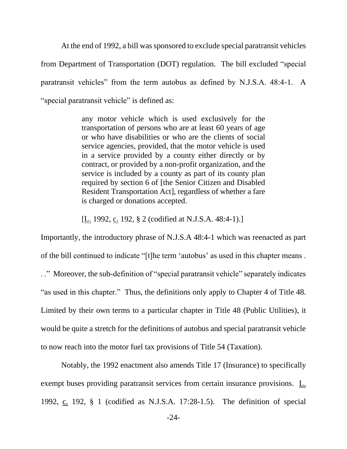At the end of 1992, a bill was sponsored to exclude special paratransit vehicles from Department of Transportation (DOT) regulation. The bill excluded "special paratransit vehicles" from the term autobus as defined by N.J.S.A. 48:4-1. A "special paratransit vehicle" is defined as:

> any motor vehicle which is used exclusively for the transportation of persons who are at least 60 years of age or who have disabilities or who are the clients of social service agencies, provided, that the motor vehicle is used in a service provided by a county either directly or by contract, or provided by a non-profit organization, and the service is included by a county as part of its county plan required by section 6 of [the Senior Citizen and Disabled Resident Transportation Act], regardless of whether a fare is charged or donations accepted.

[L. 1992, c. 192, § 2 (codified at N.J.S.A. 48:4-1).]

Importantly, the introductory phrase of N.J.S.A 48:4-1 which was reenacted as part of the bill continued to indicate "[t]he term 'autobus' as used in this chapter means . . ." Moreover, the sub-definition of "special paratransit vehicle" separately indicates "as used in this chapter." Thus, the definitions only apply to Chapter 4 of Title 48. Limited by their own terms to a particular chapter in Title 48 (Public Utilities), it would be quite a stretch for the definitions of autobus and special paratransit vehicle to now reach into the motor fuel tax provisions of Title 54 (Taxation).

Notably, the 1992 enactment also amends Title 17 (Insurance) to specifically exempt buses providing paratransit services from certain insurance provisions. L. 1992, c. 192, § 1 (codified as N.J.S.A. 17:28-1.5). The definition of special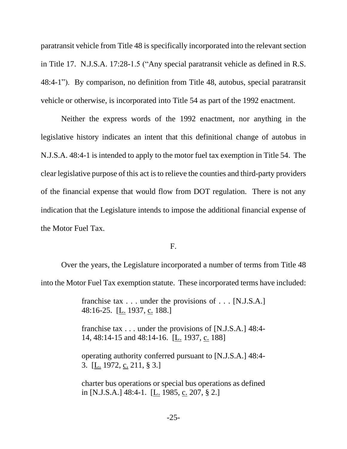paratransit vehicle from Title 48 is specifically incorporated into the relevant section in Title 17. N.J.S.A. 17:28-1.5 ("Any special paratransit vehicle as defined in R.S. 48:4-1"). By comparison, no definition from Title 48, autobus, special paratransit vehicle or otherwise, is incorporated into Title 54 as part of the 1992 enactment.

Neither the express words of the 1992 enactment, nor anything in the legislative history indicates an intent that this definitional change of autobus in N.J.S.A. 48:4-1 is intended to apply to the motor fuel tax exemption in Title 54. The clear legislative purpose of this act isto relieve the counties and third-party providers of the financial expense that would flow from DOT regulation. There is not any indication that the Legislature intends to impose the additional financial expense of the Motor Fuel Tax.

F.

Over the years, the Legislature incorporated a number of terms from Title 48 into the Motor Fuel Tax exemption statute. These incorporated terms have included:

> franchise tax . . . under the provisions of . . . [N.J.S.A.] 48:16-25. [L. 1937, c. 188.]

> franchise tax . . . under the provisions of [N.J.S.A.] 48:4- 14, 48:14-15 and 48:14-16. [L. 1937, c. 188]

> operating authority conferred pursuant to [N.J.S.A.] 48:4- 3. [L. 1972, c. 211, § 3.]

> charter bus operations or special bus operations as defined in [N.J.S.A.] 48:4-1. [L. 1985, c. 207, § 2.]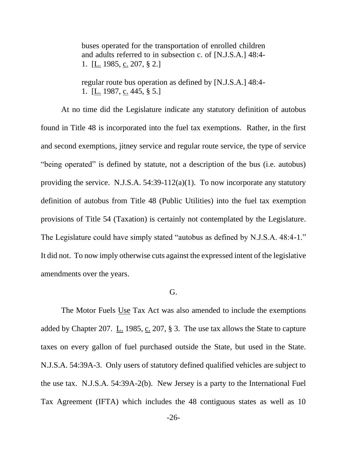buses operated for the transportation of enrolled children and adults referred to in subsection c. of [N.J.S.A.] 48:4- 1. [ $\underline{L}$ . 1985,  $\underline{c}$ . 207, § 2.]

regular route bus operation as defined by [N.J.S.A.] 48:4- 1. [L. 1987, c. 445, § 5.]

At no time did the Legislature indicate any statutory definition of autobus found in Title 48 is incorporated into the fuel tax exemptions. Rather, in the first and second exemptions, jitney service and regular route service, the type of service "being operated" is defined by statute, not a description of the bus (i.e. autobus) providing the service. N.J.S.A. 54:39-112(a)(1). To now incorporate any statutory definition of autobus from Title 48 (Public Utilities) into the fuel tax exemption provisions of Title 54 (Taxation) is certainly not contemplated by the Legislature. The Legislature could have simply stated "autobus as defined by N.J.S.A. 48:4-1." It did not. To now imply otherwise cuts against the expressed intent of the legislative amendments over the years.

#### G.

The Motor Fuels Use Tax Act was also amended to include the exemptions added by Chapter 207. L. 1985, c. 207, § 3. The use tax allows the State to capture taxes on every gallon of fuel purchased outside the State, but used in the State. N.J.S.A. 54:39A-3. Only users of statutory defined qualified vehicles are subject to the use tax. N.J.S.A. 54:39A-2(b). New Jersey is a party to the International Fuel Tax Agreement (IFTA) which includes the 48 contiguous states as well as 10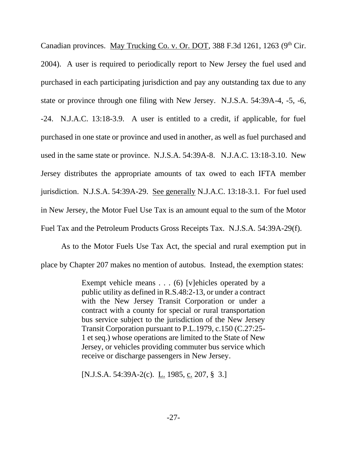Canadian provinces. May Trucking Co. v. Or. DOT, 388 F.3d 1261, 1263 ( $9<sup>th</sup>$  Cir. 2004). A user is required to periodically report to New Jersey the fuel used and purchased in each participating jurisdiction and pay any outstanding tax due to any state or province through one filing with New Jersey. N.J.S.A. 54:39A-4, -5, -6, -24. N.J.A.C. 13:18-3.9. A user is entitled to a credit, if applicable, for fuel purchased in one state or province and used in another, as well as fuel purchased and used in the same state or province. N.J.S.A. 54:39A-8. N.J.A.C. 13:18-3.10. New Jersey distributes the appropriate amounts of tax owed to each IFTA member jurisdiction. N.J.S.A. 54:39A-29. See generally N.J.A.C. 13:18-3.1. For fuel used in New Jersey, the Motor Fuel Use Tax is an amount equal to the sum of the Motor Fuel Tax and the Petroleum Products Gross Receipts Tax. N.J.S.A. 54:39A-29(f).

As to the Motor Fuels Use Tax Act, the special and rural exemption put in place by Chapter 207 makes no mention of autobus. Instead, the exemption states:

> Exempt vehicle means . . . (6) [v]ehicles operated by a public utility as defined in R.S.48:2-13, or under a contract with the New Jersey Transit Corporation or under a contract with a county for special or rural transportation bus service subject to the jurisdiction of the New Jersey Transit Corporation pursuant to P.L.1979, c.150 (C.27:25- 1 et seq.) whose operations are limited to the State of New Jersey, or vehicles providing commuter bus service which receive or discharge passengers in New Jersey.

[N.J.S.A. 54:39A-2(c). L. 1985, c. 207, § 3.]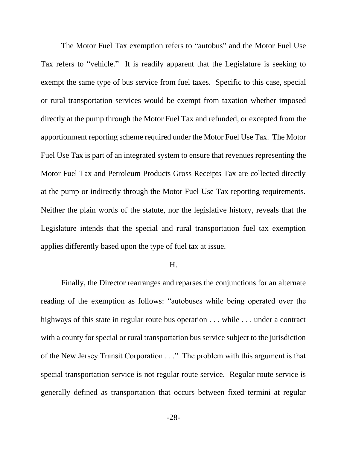The Motor Fuel Tax exemption refers to "autobus" and the Motor Fuel Use Tax refers to "vehicle." It is readily apparent that the Legislature is seeking to exempt the same type of bus service from fuel taxes. Specific to this case, special or rural transportation services would be exempt from taxation whether imposed directly at the pump through the Motor Fuel Tax and refunded, or excepted from the apportionment reporting scheme required under the Motor Fuel Use Tax. The Motor Fuel Use Tax is part of an integrated system to ensure that revenues representing the Motor Fuel Tax and Petroleum Products Gross Receipts Tax are collected directly at the pump or indirectly through the Motor Fuel Use Tax reporting requirements. Neither the plain words of the statute, nor the legislative history, reveals that the Legislature intends that the special and rural transportation fuel tax exemption applies differently based upon the type of fuel tax at issue.

### H.

Finally, the Director rearranges and reparses the conjunctions for an alternate reading of the exemption as follows: "autobuses while being operated over the highways of this state in regular route bus operation . . . while . . . under a contract with a county for special or rural transportation bus service subject to the jurisdiction of the New Jersey Transit Corporation . . ." The problem with this argument is that special transportation service is not regular route service. Regular route service is generally defined as transportation that occurs between fixed termini at regular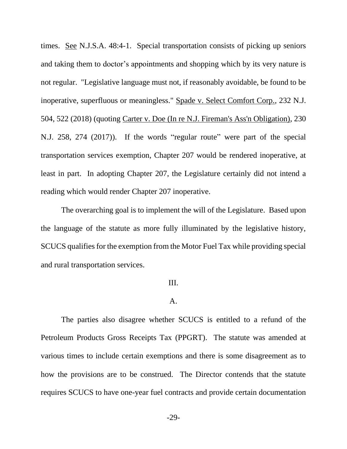times. See N.J.S.A. 48:4-1. Special transportation consists of picking up seniors and taking them to doctor's appointments and shopping which by its very nature is not regular. "Legislative language must not, if reasonably avoidable, be found to be inoperative, superfluous or meaningless." Spade v. Select Comfort Corp., 232 N.J. 504, 522 (2018) (quoting Carter v. Doe (In re N.J. Fireman's Ass'n Obligation), 230 N.J. 258, 274 (2017)). If the words "regular route" were part of the special transportation services exemption, Chapter 207 would be rendered inoperative, at least in part. In adopting Chapter 207, the Legislature certainly did not intend a reading which would render Chapter 207 inoperative.

The overarching goal is to implement the will of the Legislature. Based upon the language of the statute as more fully illuminated by the legislative history, SCUCS qualifies for the exemption from the Motor Fuel Tax while providing special and rural transportation services.

#### III.

#### A.

The parties also disagree whether SCUCS is entitled to a refund of the Petroleum Products Gross Receipts Tax (PPGRT). The statute was amended at various times to include certain exemptions and there is some disagreement as to how the provisions are to be construed. The Director contends that the statute requires SCUCS to have one-year fuel contracts and provide certain documentation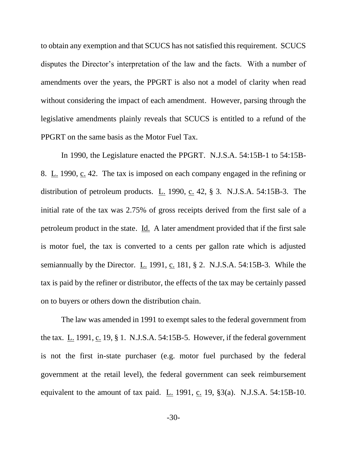to obtain any exemption and that SCUCS has not satisfied this requirement. SCUCS disputes the Director's interpretation of the law and the facts. With a number of amendments over the years, the PPGRT is also not a model of clarity when read without considering the impact of each amendment. However, parsing through the legislative amendments plainly reveals that SCUCS is entitled to a refund of the PPGRT on the same basis as the Motor Fuel Tax.

In 1990, the Legislature enacted the PPGRT. N.J.S.A. 54:15B-1 to 54:15B-8. L. 1990, c. 42. The tax is imposed on each company engaged in the refining or distribution of petroleum products.  $\underline{L}$ . 1990,  $\underline{c}$ . 42, § 3. N.J.S.A. 54:15B-3. The initial rate of the tax was 2.75% of gross receipts derived from the first sale of a petroleum product in the state. Id. A later amendment provided that if the first sale is motor fuel, the tax is converted to a cents per gallon rate which is adjusted semiannually by the Director. L. 1991, c. 181, § 2. N.J.S.A. 54:15B-3. While the tax is paid by the refiner or distributor, the effects of the tax may be certainly passed on to buyers or others down the distribution chain.

The law was amended in 1991 to exempt sales to the federal government from the tax. L. 1991, c. 19, § 1. N.J.S.A. 54:15B-5. However, if the federal government is not the first in-state purchaser (e.g. motor fuel purchased by the federal government at the retail level), the federal government can seek reimbursement equivalent to the amount of tax paid. L. 1991, c. 19, §3(a). N.J.S.A. 54:15B-10.

-30-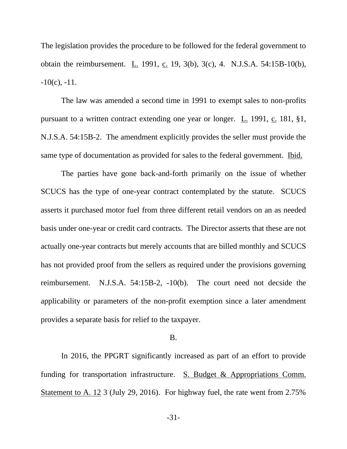The legislation provides the procedure to be followed for the federal government to obtain the reimbursement. L. 1991, c. 19, 3(b), 3(c), 4. N.J.S.A. 54:15B-10(b),  $-10(c)$ ,  $-11$ .

The law was amended a second time in 1991 to exempt sales to non-profits pursuant to a written contract extending one year or longer. L. 1991, c. 181, §1, N.J.S.A. 54:15B-2. The amendment explicitly provides the seller must provide the same type of documentation as provided for sales to the federal government. Ibid.

The parties have gone back-and-forth primarily on the issue of whether SCUCS has the type of one-year contract contemplated by the statute. SCUCS asserts it purchased motor fuel from three different retail vendors on an as needed basis under one-year or credit card contracts. The Director asserts that these are not actually one-year contracts but merely accounts that are billed monthly and SCUCS has not provided proof from the sellers as required under the provisions governing reimbursement. N.J.S.A. 54:15B-2, -10(b). The court need not decside the applicability or parameters of the non-profit exemption since a later amendment provides a separate basis for relief to the taxpayer.

## B.

In 2016, the PPGRT significantly increased as part of an effort to provide funding for transportation infrastructure. S. Budget & Appropriations Comm. Statement to A. 12 3 (July 29, 2016). For highway fuel, the rate went from 2.75%

-31-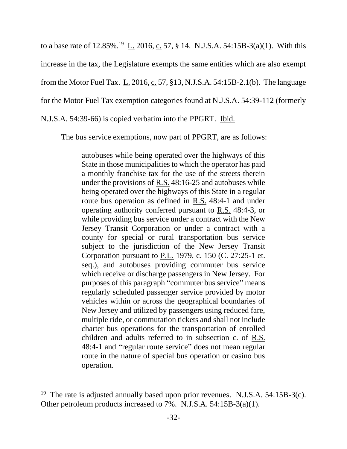to a base rate of 12.85%.<sup>19</sup> L. 2016, c. 57, § 14. N.J.S.A. 54:15B-3(a)(1). With this increase in the tax, the Legislature exempts the same entities which are also exempt from the Motor Fuel Tax. L. 2016, c. 57, §13, N.J.S.A. 54:15B-2.1(b). The language for the Motor Fuel Tax exemption categories found at N.J.S.A. 54:39-112 (formerly N.J.S.A. 54:39-66) is copied verbatim into the PPGRT. Ibid.

The bus service exemptions, now part of PPGRT, are as follows:

autobuses while being operated over the highways of this State in those municipalities to which the operator has paid a monthly franchise tax for the use of the streets therein under the provisions of R.S. 48:16-25 and autobuses while being operated over the highways of this State in a regular route bus operation as defined in R.S. 48:4-1 and under operating authority conferred pursuant to R.S. 48:4-3, or while providing bus service under a contract with the New Jersey Transit Corporation or under a contract with a county for special or rural transportation bus service subject to the jurisdiction of the New Jersey Transit Corporation pursuant to P.L. 1979, c. 150 (C. 27:25-1 et. seq.), and autobuses providing commuter bus service which receive or discharge passengers in New Jersey. For purposes of this paragraph "commuter bus service" means regularly scheduled passenger service provided by motor vehicles within or across the geographical boundaries of New Jersey and utilized by passengers using reduced fare, multiple ride, or commutation tickets and shall not include charter bus operations for the transportation of enrolled children and adults referred to in subsection c. of R.S. 48:4-1 and "regular route service" does not mean regular route in the nature of special bus operation or casino bus operation.

<sup>&</sup>lt;sup>19</sup> The rate is adjusted annually based upon prior revenues. N.J.S.A. 54:15B-3(c). Other petroleum products increased to 7%. N.J.S.A. 54:15B-3(a)(1).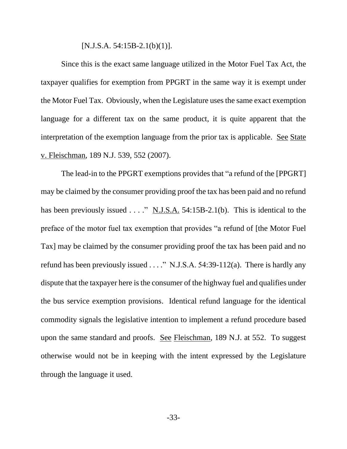$[N.J.S.A. 54:15B-2.1(b)(1)].$ 

Since this is the exact same language utilized in the Motor Fuel Tax Act, the taxpayer qualifies for exemption from PPGRT in the same way it is exempt under the Motor Fuel Tax. Obviously, when the Legislature uses the same exact exemption language for a different tax on the same product, it is quite apparent that the interpretation of the exemption language from the prior tax is applicable. See State v. Fleischman, 189 N.J. 539, 552 (2007).

The lead-in to the PPGRT exemptions provides that "a refund of the [PPGRT] may be claimed by the consumer providing proof the tax has been paid and no refund has been previously issued . . . ." N.J.S.A. 54:15B-2.1(b). This is identical to the preface of the motor fuel tax exemption that provides "a refund of [the Motor Fuel Tax] may be claimed by the consumer providing proof the tax has been paid and no refund has been previously issued  $\ldots$ ." N.J.S.A. 54:39-112(a). There is hardly any dispute that the taxpayer here is the consumer of the highway fuel and qualifies under the bus service exemption provisions. Identical refund language for the identical commodity signals the legislative intention to implement a refund procedure based upon the same standard and proofs. See Fleischman, 189 N.J. at 552. To suggest otherwise would not be in keeping with the intent expressed by the Legislature through the language it used.